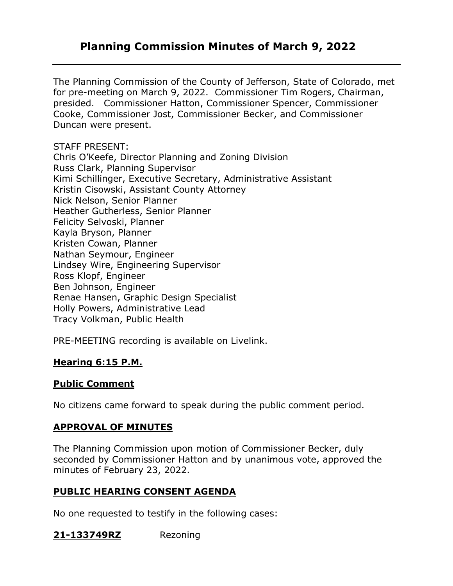## **Planning Commission Minutes of March 9, 2022**

The Planning Commission of the County of Jefferson, State of Colorado, met for pre-meeting on March 9, 2022. Commissioner Tim Rogers, Chairman, presided. Commissioner Hatton, Commissioner Spencer, Commissioner Cooke, Commissioner Jost, Commissioner Becker, and Commissioner Duncan were present.

#### STAFF PRESENT:

Chris O'Keefe, Director Planning and Zoning Division Russ Clark, Planning Supervisor Kimi Schillinger, Executive Secretary, Administrative Assistant Kristin Cisowski, Assistant County Attorney Nick Nelson, Senior Planner Heather Gutherless, Senior Planner Felicity Selvoski, Planner Kayla Bryson, Planner Kristen Cowan, Planner Nathan Seymour, Engineer Lindsey Wire, Engineering Supervisor Ross Klopf, Engineer Ben Johnson, Engineer Renae Hansen, Graphic Design Specialist Holly Powers, Administrative Lead Tracy Volkman, Public Health

PRE-MEETING recording is available on Livelink.

### **Hearing 6:15 P.M.**

### **Public Comment**

No citizens came forward to speak during the public comment period.

### **APPROVAL OF MINUTES**

The Planning Commission upon motion of Commissioner Becker, duly seconded by Commissioner Hatton and by unanimous vote, approved the minutes of February 23, 2022.

### **PUBLIC HEARING CONSENT AGENDA**

No one requested to testify in the following cases:

### **21-133749RZ** Rezoning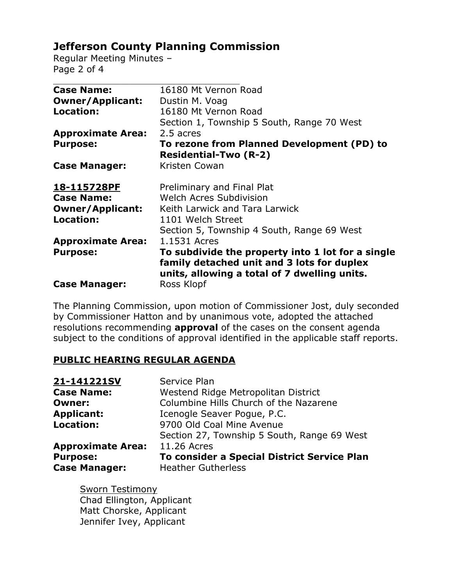# **Jefferson County Planning Commission**

Regular Meeting Minutes – Page 2 of 4

| <b>Case Name:</b>        | 16180 Mt Vernon Road                              |
|--------------------------|---------------------------------------------------|
| <b>Owner/Applicant:</b>  | Dustin M. Voag                                    |
| <b>Location:</b>         | 16180 Mt Vernon Road                              |
|                          | Section 1, Township 5 South, Range 70 West        |
| <b>Approximate Area:</b> | 2.5 acres                                         |
| <b>Purpose:</b>          | To rezone from Planned Development (PD) to        |
|                          | <b>Residential-Two (R-2)</b>                      |
| <b>Case Manager:</b>     | Kristen Cowan                                     |
| 18-115728PF              | Preliminary and Final Plat                        |
| <b>Case Name:</b>        | <b>Welch Acres Subdivision</b>                    |
| <b>Owner/Applicant:</b>  | Keith Larwick and Tara Larwick                    |
| Location:                | 1101 Welch Street                                 |
|                          | Section 5, Township 4 South, Range 69 West        |
| <b>Approximate Area:</b> | 1.1531 Acres                                      |
| <b>Purpose:</b>          | To subdivide the property into 1 lot for a single |
|                          | family detached unit and 3 lots for duplex        |
|                          | units, allowing a total of 7 dwelling units.      |
| <b>Case Manager:</b>     | Ross Klopf                                        |

The Planning Commission, upon motion of Commissioner Jost, duly seconded by Commissioner Hatton and by unanimous vote, adopted the attached resolutions recommending **approval** of the cases on the consent agenda subject to the conditions of approval identified in the applicable staff reports.

### **PUBLIC HEARING REGULAR AGENDA**

| 21-141221SV              | Service Plan                                |
|--------------------------|---------------------------------------------|
| <b>Case Name:</b>        | Westend Ridge Metropolitan District         |
| <b>Owner:</b>            | Columbine Hills Church of the Nazarene      |
| <b>Applicant:</b>        | Icenogle Seaver Pogue, P.C.                 |
| <b>Location:</b>         | 9700 Old Coal Mine Avenue                   |
|                          | Section 27, Township 5 South, Range 69 West |
| <b>Approximate Area:</b> | 11.26 Acres                                 |
| <b>Purpose:</b>          | To consider a Special District Service Plan |
| <b>Case Manager:</b>     | <b>Heather Gutherless</b>                   |

Sworn Testimony Chad Ellington, Applicant Matt Chorske, Applicant Jennifer Ivey, Applicant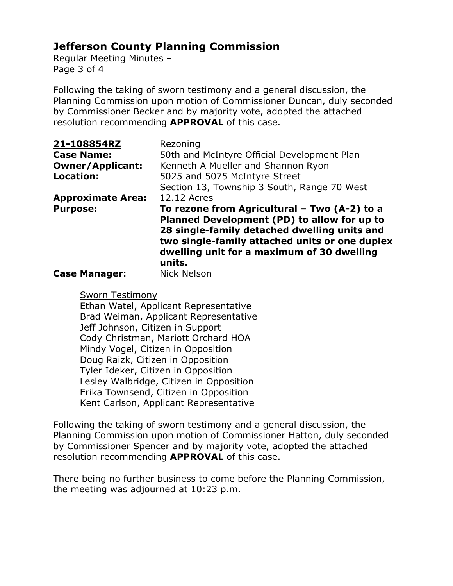# **Jefferson County Planning Commission**

Regular Meeting Minutes – Page 3 of 4

Following the taking of sworn testimony and a general discussion, the Planning Commission upon motion of Commissioner Duncan, duly seconded by Commissioner Becker and by majority vote, adopted the attached resolution recommending **APPROVAL** of this case.

| 21-108854RZ              | Rezoning                                                                                                                                               |
|--------------------------|--------------------------------------------------------------------------------------------------------------------------------------------------------|
| <b>Case Name:</b>        | 50th and McIntyre Official Development Plan                                                                                                            |
| <b>Owner/Applicant:</b>  | Kenneth A Mueller and Shannon Ryon                                                                                                                     |
| <b>Location:</b>         | 5025 and 5075 McIntyre Street                                                                                                                          |
|                          | Section 13, Township 3 South, Range 70 West                                                                                                            |
| <b>Approximate Area:</b> | 12.12 Acres                                                                                                                                            |
| <b>Purpose:</b>          | To rezone from Agricultural - Two (A-2) to a                                                                                                           |
|                          | Planned Development (PD) to allow for up to                                                                                                            |
|                          | 28 single-family detached dwelling units and<br>two single-family attached units or one duplex<br>dwelling unit for a maximum of 30 dwelling<br>units. |
| <b>Case Manager:</b>     | <b>Nick Nelson</b>                                                                                                                                     |

Sworn Testimony

Ethan Watel, Applicant Representative Brad Weiman, Applicant Representative Jeff Johnson, Citizen in Support Cody Christman, Mariott Orchard HOA Mindy Vogel, Citizen in Opposition Doug Raizk, Citizen in Opposition Tyler Ideker, Citizen in Opposition Lesley Walbridge, Citizen in Opposition Erika Townsend, Citizen in Opposition Kent Carlson, Applicant Representative

Following the taking of sworn testimony and a general discussion, the Planning Commission upon motion of Commissioner Hatton, duly seconded by Commissioner Spencer and by majority vote, adopted the attached resolution recommending **APPROVAL** of this case.

There being no further business to come before the Planning Commission, the meeting was adjourned at 10:23 p.m.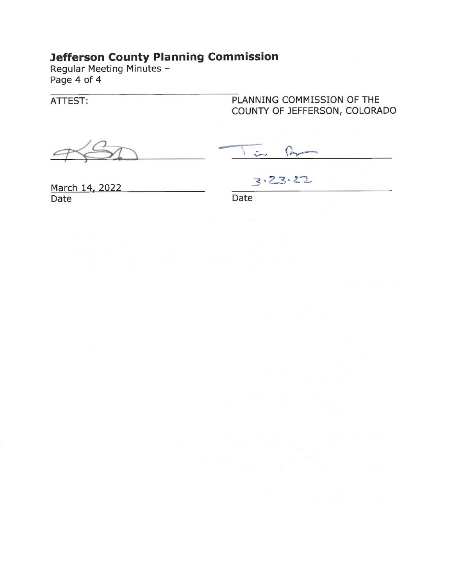# **Jefferson County Planning Commission**

Regular Meeting Minutes -Page 4 of 4

ATTEST:

PLANNING COMMISSION OF THE COUNTY OF JEFFERSON, COLORADO

 $\rightarrow$ Low

March 14, 2022 Date

 $3.23.22$ 

Date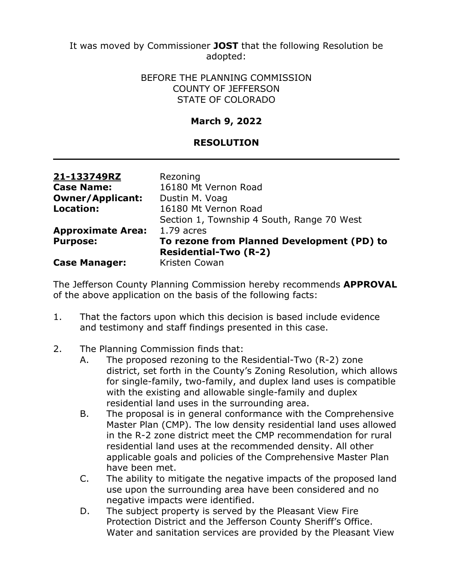It was moved by Commissioner **JOST** that the following Resolution be adopted:

#### BEFORE THE PLANNING COMMISSION COUNTY OF JEFFERSON STATE OF COLORADO

## **March 9, 2022**

## **RESOLUTION**

| 21-133749RZ              | Rezoning                                   |
|--------------------------|--------------------------------------------|
| <b>Case Name:</b>        | 16180 Mt Vernon Road                       |
| <b>Owner/Applicant:</b>  | Dustin M. Voag                             |
| <b>Location:</b>         | 16180 Mt Vernon Road                       |
|                          | Section 1, Township 4 South, Range 70 West |
| <b>Approximate Area:</b> | $1.79$ acres                               |
| <b>Purpose:</b>          | To rezone from Planned Development (PD) to |
|                          | <b>Residential-Two (R-2)</b>               |
| <b>Case Manager:</b>     | Kristen Cowan                              |

The Jefferson County Planning Commission hereby recommends **APPROVAL** of the above application on the basis of the following facts:

- 1. That the factors upon which this decision is based include evidence and testimony and staff findings presented in this case.
- 2. The Planning Commission finds that:
	- A. The proposed rezoning to the Residential-Two (R-2) zone district, set forth in the County's Zoning Resolution, which allows for single-family, two-family, and duplex land uses is compatible with the existing and allowable single-family and duplex residential land uses in the surrounding area.
	- B. The proposal is in general conformance with the Comprehensive Master Plan (CMP). The low density residential land uses allowed in the R-2 zone district meet the CMP recommendation for rural residential land uses at the recommended density. All other applicable goals and policies of the Comprehensive Master Plan have been met.
	- C. The ability to mitigate the negative impacts of the proposed land use upon the surrounding area have been considered and no negative impacts were identified.
	- D. The subject property is served by the Pleasant View Fire Protection District and the Jefferson County Sheriff's Office. Water and sanitation services are provided by the Pleasant View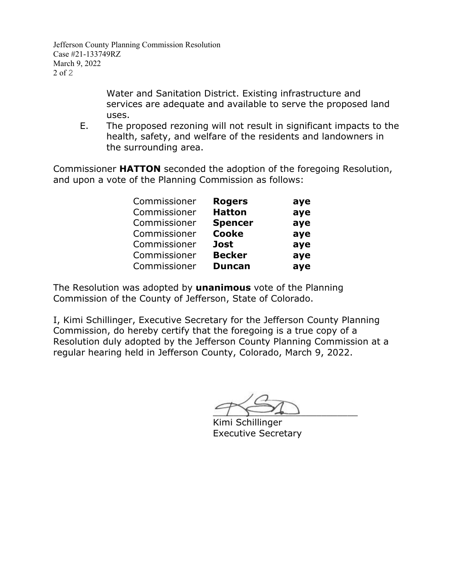Jefferson County Planning Commission Resolution Case #21-133749RZ March 9, 2022 2 of 2

> Water and Sanitation District. Existing infrastructure and services are adequate and available to serve the proposed land uses.

E. The proposed rezoning will not result in significant impacts to the health, safety, and welfare of the residents and landowners in the surrounding area.

Commissioner **HATTON** seconded the adoption of the foregoing Resolution, and upon a vote of the Planning Commission as follows:

| Commissioner | <b>Rogers</b>  | aye |
|--------------|----------------|-----|
| Commissioner | <b>Hatton</b>  | aye |
| Commissioner | <b>Spencer</b> | aye |
| Commissioner | <b>Cooke</b>   | aye |
| Commissioner | <b>Jost</b>    | aye |
| Commissioner | <b>Becker</b>  | aye |
| Commissioner | <b>Duncan</b>  | aye |

The Resolution was adopted by **unanimous** vote of the Planning Commission of the County of Jefferson, State of Colorado.

 $\rightarrow$ 

Kimi Schillinger Executive Secretary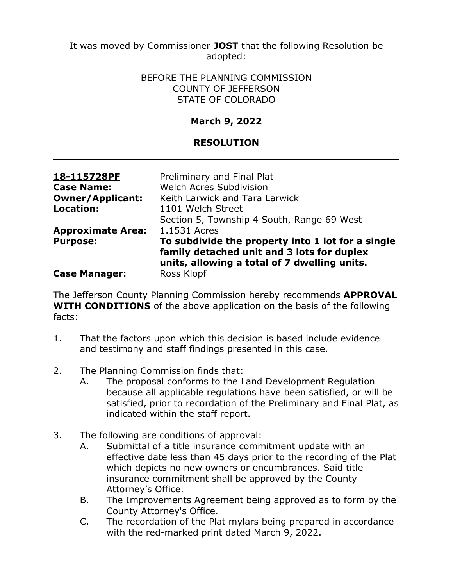It was moved by Commissioner **JOST** that the following Resolution be adopted:

> BEFORE THE PLANNING COMMISSION COUNTY OF JEFFERSON STATE OF COLORADO

## **March 9, 2022**

### **RESOLUTION**

| 18-115728PF              | Preliminary and Final Plat                                                                                                                      |
|--------------------------|-------------------------------------------------------------------------------------------------------------------------------------------------|
| <b>Case Name:</b>        | Welch Acres Subdivision                                                                                                                         |
| <b>Owner/Applicant:</b>  | Keith Larwick and Tara Larwick                                                                                                                  |
| Location:                | 1101 Welch Street                                                                                                                               |
|                          | Section 5, Township 4 South, Range 69 West                                                                                                      |
| <b>Approximate Area:</b> | 1.1531 Acres                                                                                                                                    |
| <b>Purpose:</b>          | To subdivide the property into 1 lot for a single<br>family detached unit and 3 lots for duplex<br>units, allowing a total of 7 dwelling units. |
| <b>Case Manager:</b>     | Ross Klopf                                                                                                                                      |

The Jefferson County Planning Commission hereby recommends **APPROVAL WITH CONDITIONS** of the above application on the basis of the following facts:

- 1. That the factors upon which this decision is based include evidence and testimony and staff findings presented in this case.
- 2. The Planning Commission finds that:
	- A. The proposal conforms to the Land Development Regulation because all applicable regulations have been satisfied, or will be satisfied, prior to recordation of the Preliminary and Final Plat, as indicated within the staff report.
- 3. The following are conditions of approval:
	- A. Submittal of a title insurance commitment update with an effective date less than 45 days prior to the recording of the Plat which depicts no new owners or encumbrances. Said title insurance commitment shall be approved by the County Attorney's Office.
	- B. The Improvements Agreement being approved as to form by the County Attorney's Office.
	- C. The recordation of the Plat mylars being prepared in accordance with the red-marked print dated March 9, 2022.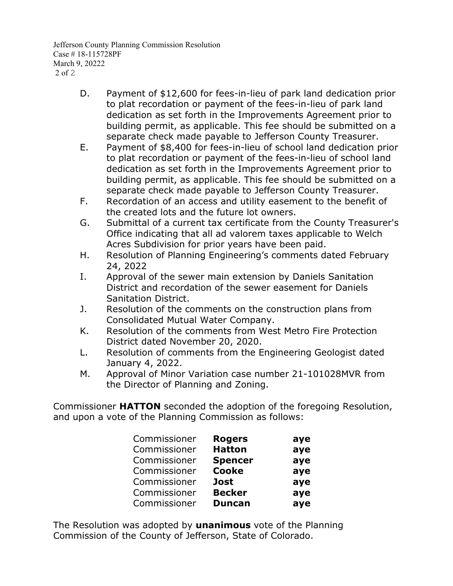Jefferson County Planning Commission Resolution Case # 18-115728PF March 9, 20222 2 of 2

- D. Payment of \$12,600 for fees-in-lieu of park land dedication prior to plat recordation or payment of the fees-in-lieu of park land dedication as set forth in the Improvements Agreement prior to building permit, as applicable. This fee should be submitted on a separate check made payable to Jefferson County Treasurer.
- E. Payment of \$8,400 for fees-in-lieu of school land dedication prior to plat recordation or payment of the fees-in-lieu of school land dedication as set forth in the Improvements Agreement prior to building permit, as applicable. This fee should be submitted on a separate check made payable to Jefferson County Treasurer.
- F. Recordation of an access and utility easement to the benefit of the created lots and the future lot owners.
- G. Submittal of a current tax certificate from the County Treasurer's Office indicating that all ad valorem taxes applicable to Welch Acres Subdivision for prior years have been paid.
- H. Resolution of Planning Engineering's comments dated February 24, 2022
- I. Approval of the sewer main extension by Daniels Sanitation District and recordation of the sewer easement for Daniels Sanitation District.
- J. Resolution of the comments on the construction plans from Consolidated Mutual Water Company.
- K. Resolution of the comments from West Metro Fire Protection District dated November 20, 2020.
- L. Resolution of comments from the Engineering Geologist dated January 4, 2022.
- M. Approval of Minor Variation case number 21-101028MVR from the Director of Planning and Zoning.

Commissioner **HATTON** seconded the adoption of the foregoing Resolution, and upon a vote of the Planning Commission as follows:

| Commissioner | <b>Rogers</b>  | aye |
|--------------|----------------|-----|
| Commissioner | <b>Hatton</b>  | aye |
| Commissioner | <b>Spencer</b> | aye |
| Commissioner | <b>Cooke</b>   | aye |
| Commissioner | <b>Jost</b>    | aye |
| Commissioner | <b>Becker</b>  | aye |
| Commissioner | <b>Duncan</b>  | aye |

The Resolution was adopted by **unanimous** vote of the Planning Commission of the County of Jefferson, State of Colorado.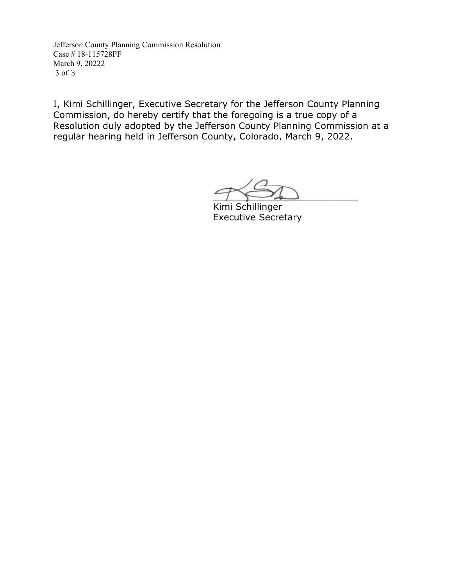Jefferson County Planning Commission Resolution Case # 18-115728PF March 9, 20222 3 of 3

 $\sim$ 

Kimi Schillinger Executive Secretary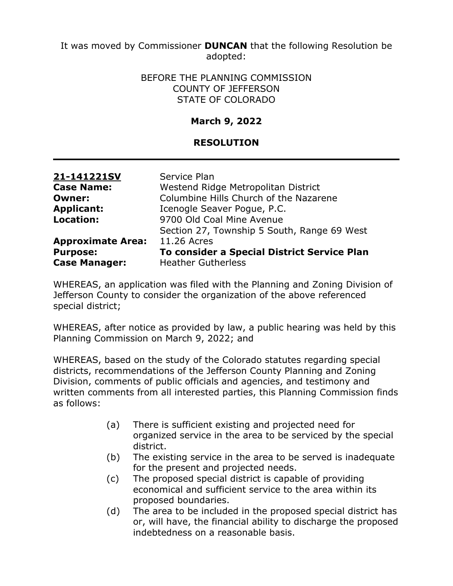It was moved by Commissioner **DUNCAN** that the following Resolution be adopted:

#### BEFORE THE PLANNING COMMISSION COUNTY OF JEFFERSON STATE OF COLORADO

## **March 9, 2022**

### **RESOLUTION**

| 21-141221SV              | Service Plan                                |
|--------------------------|---------------------------------------------|
| <b>Case Name:</b>        | Westend Ridge Metropolitan District         |
| <b>Owner:</b>            | Columbine Hills Church of the Nazarene      |
| <b>Applicant:</b>        | Icenogle Seaver Pogue, P.C.                 |
| <b>Location:</b>         | 9700 Old Coal Mine Avenue                   |
|                          | Section 27, Township 5 South, Range 69 West |
| <b>Approximate Area:</b> | 11.26 Acres                                 |
| <b>Purpose:</b>          | To consider a Special District Service Plan |
| <b>Case Manager:</b>     | <b>Heather Gutherless</b>                   |

WHEREAS, an application was filed with the Planning and Zoning Division of Jefferson County to consider the organization of the above referenced special district;

WHEREAS, after notice as provided by law, a public hearing was held by this Planning Commission on March 9, 2022; and

WHEREAS, based on the study of the Colorado statutes regarding special districts, recommendations of the Jefferson County Planning and Zoning Division, comments of public officials and agencies, and testimony and written comments from all interested parties, this Planning Commission finds as follows:

- (a) There is sufficient existing and projected need for organized service in the area to be serviced by the special district.
- (b) The existing service in the area to be served is inadequate for the present and projected needs.
- (c) The proposed special district is capable of providing economical and sufficient service to the area within its proposed boundaries.
- (d) The area to be included in the proposed special district has or, will have, the financial ability to discharge the proposed indebtedness on a reasonable basis.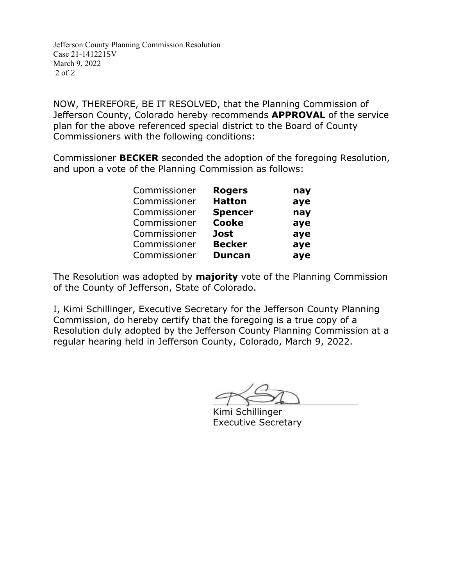Jefferson County Planning Commission Resolution Case 21-141221SV March 9, 2022 2 of 2

NOW, THEREFORE, BE IT RESOLVED, that the Planning Commission of Jefferson County, Colorado hereby recommends **APPROVAL** of the service plan for the above referenced special district to the Board of County Commissioners with the following conditions:

Commissioner **BECKER** seconded the adoption of the foregoing Resolution, and upon a vote of the Planning Commission as follows:

| Commissioner | <b>Rogers</b>  | nay |
|--------------|----------------|-----|
| Commissioner | <b>Hatton</b>  | aye |
| Commissioner | <b>Spencer</b> | nay |
| Commissioner | <b>Cooke</b>   | aye |
| Commissioner | <b>Jost</b>    | aye |
| Commissioner | <b>Becker</b>  | aye |
| Commissioner | <b>Duncan</b>  | aye |

The Resolution was adopted by **majority** vote of the Planning Commission of the County of Jefferson, State of Colorado.

 $\rightarrow$ 

Kimi Schillinger Executive Secretary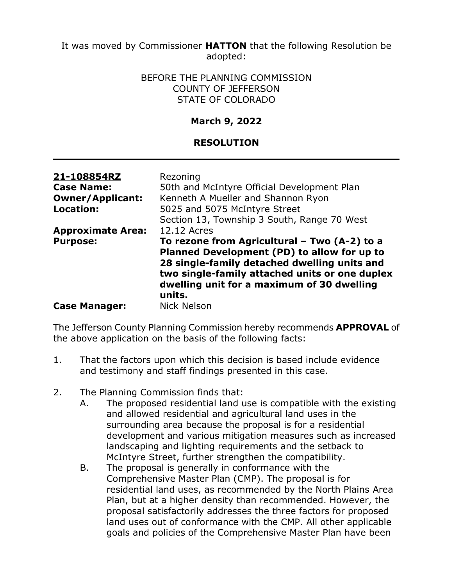It was moved by Commissioner **HATTON** that the following Resolution be adopted:

#### BEFORE THE PLANNING COMMISSION COUNTY OF JEFFERSON STATE OF COLORADO

### **March 9, 2022**

## **RESOLUTION**

| 21-108854RZ<br><b>Case Name:</b><br><b>Owner/Applicant:</b><br>Location: | Rezoning<br>50th and McIntyre Official Development Plan<br>Kenneth A Mueller and Shannon Ryon<br>5025 and 5075 McIntyre Street                                                                                                                        |
|--------------------------------------------------------------------------|-------------------------------------------------------------------------------------------------------------------------------------------------------------------------------------------------------------------------------------------------------|
|                                                                          | Section 13, Township 3 South, Range 70 West                                                                                                                                                                                                           |
| <b>Approximate Area:</b>                                                 | 12.12 Acres                                                                                                                                                                                                                                           |
| <b>Purpose:</b>                                                          | To rezone from Agricultural - Two (A-2) to a<br>Planned Development (PD) to allow for up to<br>28 single-family detached dwelling units and<br>two single-family attached units or one duplex<br>dwelling unit for a maximum of 30 dwelling<br>units. |
| <b>Case Manager:</b>                                                     | <b>Nick Nelson</b>                                                                                                                                                                                                                                    |

The Jefferson County Planning Commission hereby recommends **APPROVAL** of the above application on the basis of the following facts:

- 1. That the factors upon which this decision is based include evidence and testimony and staff findings presented in this case.
- 2. The Planning Commission finds that:
	- A. The proposed residential land use is compatible with the existing and allowed residential and agricultural land uses in the surrounding area because the proposal is for a residential development and various mitigation measures such as increased landscaping and lighting requirements and the setback to McIntyre Street, further strengthen the compatibility.
	- B. The proposal is generally in conformance with the Comprehensive Master Plan (CMP). The proposal is for residential land uses, as recommended by the North Plains Area Plan, but at a higher density than recommended. However, the proposal satisfactorily addresses the three factors for proposed land uses out of conformance with the CMP. All other applicable goals and policies of the Comprehensive Master Plan have been